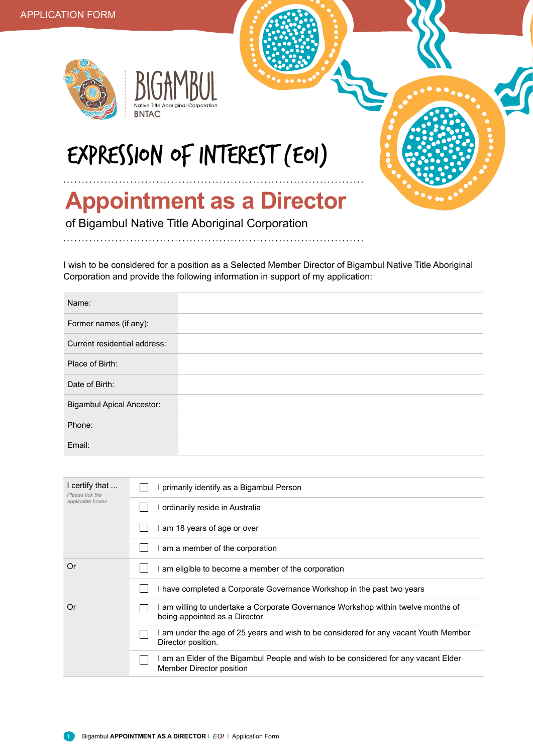



## EXPRESSION OF INTEREST (EOI)

## **Appointment as a Director**

of Bigambul Native Title Aboriginal Corporation

I wish to be considered for a position as a Selected Member Director of Bigambul Native Title Aboriginal Corporation and provide the following information in support of my application:

| Name:                            |  |
|----------------------------------|--|
| Former names (if any):           |  |
| Current residential address:     |  |
| Place of Birth:                  |  |
| Date of Birth:                   |  |
| <b>Bigambul Apical Ancestor:</b> |  |
| Phone:                           |  |
| Email:                           |  |

| I primarily identify as a Bigambul Person                                                                          |  |  |
|--------------------------------------------------------------------------------------------------------------------|--|--|
| I ordinarily reside in Australia                                                                                   |  |  |
| I am 18 years of age or over                                                                                       |  |  |
| I am a member of the corporation                                                                                   |  |  |
| I am eligible to become a member of the corporation                                                                |  |  |
| I have completed a Corporate Governance Workshop in the past two years                                             |  |  |
| I am willing to undertake a Corporate Governance Workshop within twelve months of<br>being appointed as a Director |  |  |
| I am under the age of 25 years and wish to be considered for any vacant Youth Member<br>Director position.         |  |  |
| I am an Elder of the Bigambul People and wish to be considered for any vacant Elder<br>Member Director position    |  |  |
|                                                                                                                    |  |  |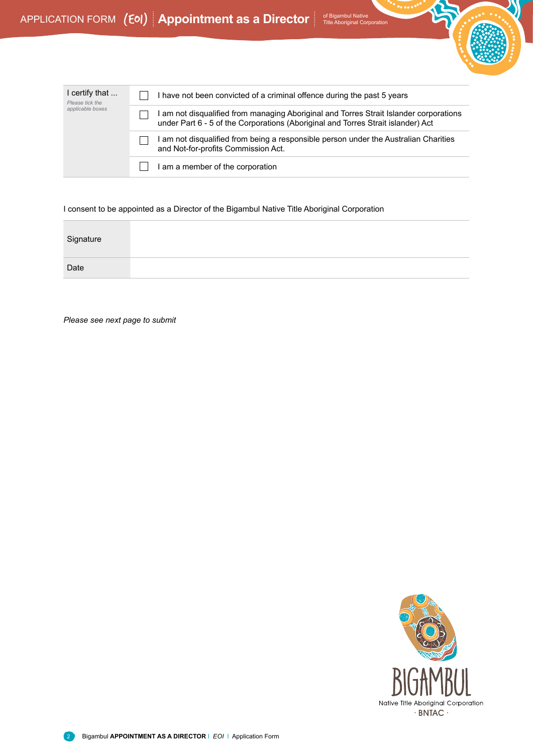

| I certify that<br>Please tick the<br>applicable boxes | I have not been convicted of a criminal offence during the past 5 years                                                                                                    |
|-------------------------------------------------------|----------------------------------------------------------------------------------------------------------------------------------------------------------------------------|
|                                                       | I am not disqualified from managing Aboriginal and Torres Strait Islander corporations<br>under Part 6 - 5 of the Corporations (Aboriginal and Torres Strait islander) Act |
|                                                       | I am not disqualified from being a responsible person under the Australian Charities<br>and Not-for-profits Commission Act.                                                |
|                                                       | I am a member of the corporation                                                                                                                                           |

I consent to be appointed as a Director of the Bigambul Native Title Aboriginal Corporation

| Signature |  |  |  |
|-----------|--|--|--|
| Date      |  |  |  |

*Please see next page to submit*